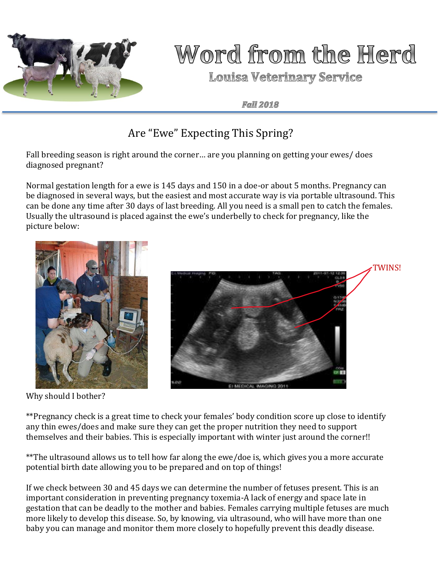

## Word from the Herd

**Louisa Veterinary Service** 

**Fall 2018** 

### Are "Ewe" Expecting This Spring?

Fall breeding season is right around the corner… are you planning on getting your ewes/ does diagnosed pregnant?

Normal gestation length for a ewe is 145 days and 150 in a doe-or about 5 months. Pregnancy can be diagnosed in several ways, but the easiest and most accurate way is via portable ultrasound. This can be done any time after 30 days of last breeding. All you need is a small pen to catch the females. Usually the ultrasound is placed against the ewe's underbelly to check for pregnancy, like the picture below:



Why should I bother?



\*\*Pregnancy check is a great time to check your females' body condition score up close to identify any thin ewes/does and make sure they can get the proper nutrition they need to support themselves and their babies. This is especially important with winter just around the corner!!

\*\*The ultrasound allows us to tell how far along the ewe/doe is, which gives you a more accurate potential birth date allowing you to be prepared and on top of things!

If we check between 30 and 45 days we can determine the number of fetuses present. This is an important consideration in preventing pregnancy toxemia-A lack of energy and space late in gestation that can be deadly to the mother and babies. Females carrying multiple fetuses are much more likely to develop this disease. So, by knowing, via ultrasound, who will have more than one baby you can manage and monitor them more closely to hopefully prevent this deadly disease.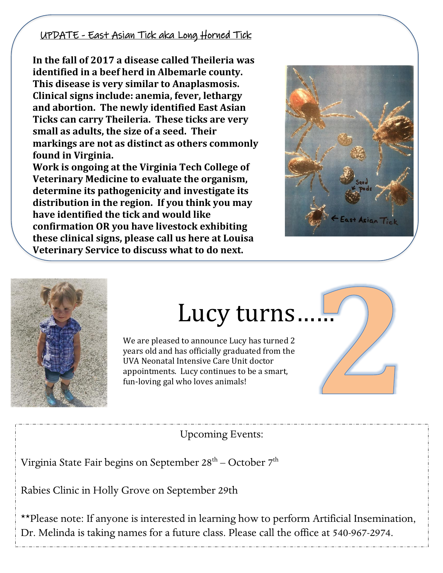#### UPDATE - East Asian Tick aka Long Horned Tick

**In the fall of 2017 a disease called Theileria was identified in a beef herd in Albemarle county. This disease is very similar to Anaplasmosis. Clinical signs include: anemia, fever, lethargy and abortion. The newly identified East Asian Ticks can carry Theileria. These ticks are very small as adults, the size of a seed. Their markings are not as distinct as others commonly found in Virginia.** 

**Work is ongoing at the Virginia Tech College of Veterinary Medicine to evaluate the organism, determine its pathogenicity and investigate its distribution in the region. If you think you may have identified the tick and would like confirmation OR you have livestock exhibiting these clinical signs, please call us here at Louisa Veterinary Service to discuss what to do next.** 





### Lucy turns……

We are pleased to announce Lucy has turned 2 years old and has officially graduated from the UVA Neonatal Intensive Care Unit doctor appointments. Lucy continues to be a smart, fun-loving gal who loves animals!



Upcoming Events:

Virginia State Fair begins on September 28 $^{\rm th}$  – October 7 $^{\rm th}$ 

Rabies Clinic in Holly Grove on September 29th

\*\*Please note: If anyone is interested in learning how to perform Artificial Insemination, Dr. Melinda is taking names for a future class. Please call the office at 540-967-2974.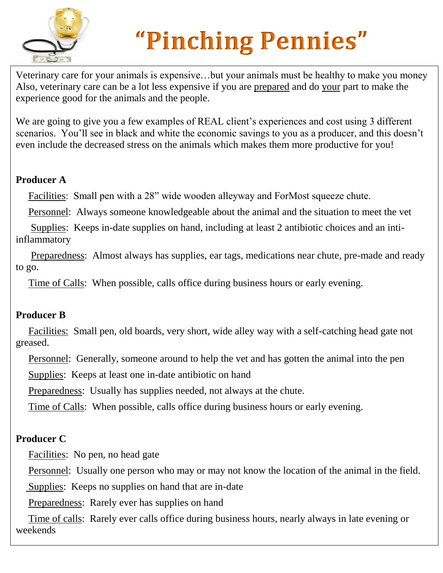

# **"Pinching Pennies"**

Veterinary care for your animals is expensive…but your animals must be healthy to make you money Also, veterinary care can be a lot less expensive if you are prepared and do your part to make the experience good for the animals and the people.

We are going to give you a few examples of REAL client's experiences and cost using 3 different scenarios. You'll see in black and white the economic savings to you as a producer, and this doesn't even include the decreased stress on the animals which makes them more productive for you!

### **Producer A**

Facilities: Small pen with a 28" wide wooden alleyway and ForMost squeeze chute.

Personnel: Always someone knowledgeable about the animal and the situation to meet the vet

 Supplies: Keeps in-date supplies on hand, including at least 2 antibiotic choices and an intiinflammatory

 Preparedness: Almost always has supplies, ear tags, medications near chute, pre-made and ready to go.

Time of Calls: When possible, calls office during business hours or early evening.

### **Producer B**

Facilities: Small pen, old boards, very short, wide alley way with a self-catching head gate not greased.

Personnel: Generally, someone around to help the vet and has gotten the animal into the pen

Supplies: Keeps at least one in-date antibiotic on hand

Preparedness: Usually has supplies needed, not always at the chute.

Time of Calls: When possible, calls office during business hours or early evening.

### **Producer C**

Facilities: No pen, no head gate

Personnel: Usually one person who may or may not know the location of the animal in the field.

Supplies: Keeps no supplies on hand that are in-date

Preparedness: Rarely ever has supplies on hand

 Time of calls: Rarely ever calls office during business hours, nearly always in late evening or weekends